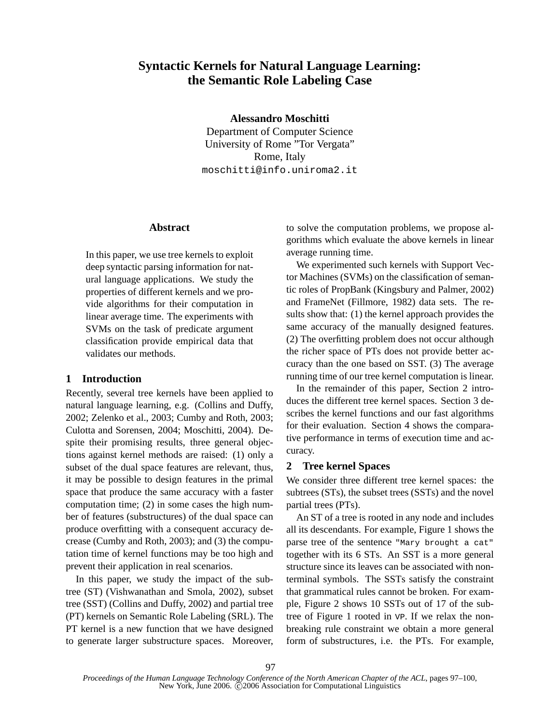# **Syntactic Kernels for Natural Language Learning: the Semantic Role Labeling Case**

**Alessandro Moschitti**

Department of Computer Science University of Rome "Tor Vergata" Rome, Italy moschitti@info.uniroma2.it

## **Abstract**

In this paper, we use tree kernels to exploit deep syntactic parsing information for natural language applications. We study the properties of different kernels and we provide algorithms for their computation in linear average time. The experiments with SVMs on the task of predicate argument classification provide empirical data that validates our methods.

# **1 Introduction**

Recently, several tree kernels have been applied to natural language learning, e.g. (Collins and Duffy, 2002; Zelenko et al., 2003; Cumby and Roth, 2003; Culotta and Sorensen, 2004; Moschitti, 2004). Despite their promising results, three general objections against kernel methods are raised: (1) only a subset of the dual space features are relevant, thus, it may be possible to design features in the primal space that produce the same accuracy with a faster computation time; (2) in some cases the high number of features (substructures) of the dual space can produce overfitting with a consequent accuracy decrease (Cumby and Roth, 2003); and (3) the computation time of kernel functions may be too high and prevent their application in real scenarios.

In this paper, we study the impact of the subtree (ST) (Vishwanathan and Smola, 2002), subset tree (SST) (Collins and Duffy, 2002) and partial tree (PT) kernels on Semantic Role Labeling (SRL). The PT kernel is a new function that we have designed to generate larger substructure spaces. Moreover,

to solve the computation problems, we propose algorithms which evaluate the above kernels in linear average running time.

We experimented such kernels with Support Vector Machines (SVMs) on the classification of semantic roles of PropBank (Kingsbury and Palmer, 2002) and FrameNet (Fillmore, 1982) data sets. The results show that: (1) the kernel approach provides the same accuracy of the manually designed features. (2) The overfitting problem does not occur although the richer space of PTs does not provide better accuracy than the one based on SST. (3) The average running time of our tree kernel computation is linear.

In the remainder of this paper, Section 2 introduces the different tree kernel spaces. Section 3 describes the kernel functions and our fast algorithms for their evaluation. Section 4 shows the comparative performance in terms of execution time and accuracy.

# **2 Tree kernel Spaces**

We consider three different tree kernel spaces: the subtrees (STs), the subset trees (SSTs) and the novel partial trees (PTs).

An ST of a tree is rooted in any node and includes all its descendants. For example, Figure 1 shows the parse tree of the sentence "Mary brought a cat" together with its 6 STs. An SST is a more general structure since its leaves can be associated with nonterminal symbols. The SSTs satisfy the constraint that grammatical rules cannot be broken. For example, Figure 2 shows 10 SSTs out of 17 of the subtree of Figure 1 rooted in VP. If we relax the nonbreaking rule constraint we obtain a more general form of substructures, i.e. the PTs. For example,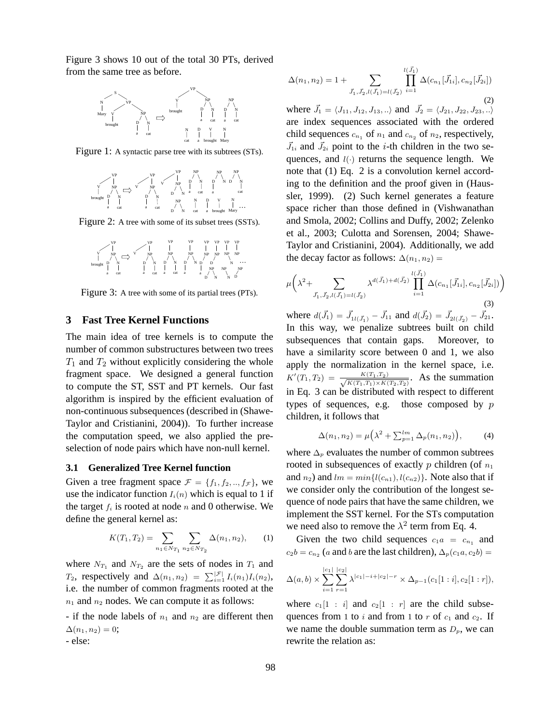Figure 3 shows 10 out of the total 30 PTs, derived from the same tree as before.



Figure 1: A syntactic parse tree with its subtrees (STs).



Figure 2: A tree with some of its subset trees (SSTs).

NP D N VP V brought a cat NP D N VP V a cat NP D N VP a cat NP D N VP a NP D VP a NP D VP NP N VP NP N NP NP D N D NP… VP

Figure 3: A tree with some of its partial trees (PTs).

## **3 Fast Tree Kernel Functions**

The main idea of tree kernels is to compute the number of common substructures between two trees  $T_1$  and  $T_2$  without explicitly considering the whole fragment space. We designed a general function to compute the ST, SST and PT kernels. Our fast algorithm is inspired by the efficient evaluation of non-continuous subsequences (described in (Shawe-Taylor and Cristianini, 2004)). To further increase the computation speed, we also applied the preselection of node pairs which have non-null kernel.

## **3.1 Generalized Tree Kernel function**

Given a tree fragment space  $\mathcal{F} = \{f_1, f_2, \dots, f_{\mathcal{F}}\}\,$ , we use the indicator function  $I_i(n)$  which is equal to 1 if the target  $f_i$  is rooted at node n and 0 otherwise. We define the general kernel as:

$$
K(T_1, T_2) = \sum_{n_1 \in N_{T_1}} \sum_{n_2 \in N_{T_2}} \Delta(n_1, n_2), \qquad (1)
$$

where  $N_{T_1}$  and  $N_{T_2}$  are the sets of nodes in  $T_1$  and T<sub>2</sub>, respectively and  $\Delta(n_1, n_2) = \sum_{i=1}^{|\mathcal{F}|} I_i(n_1) I_i(n_2)$ , i.e. the number of common fragments rooted at the  $n_1$  and  $n_2$  nodes. We can compute it as follows:

- if the node labels of  $n_1$  and  $n_2$  are different then  $\Delta(n_1, n_2) = 0;$ 

- else:

$$
\Delta(n_1, n_2) = 1 + \sum_{\vec{J}_1, \vec{J}_2, l(\vec{J}_1) = l(\vec{J}_2)} \prod_{i=1}^{l(\vec{J}_1)} \Delta(c_{n_1}[\vec{J}_{1i}], c_{n_2}[\vec{J}_{2i}])
$$
\n(2)

where  $\vec{J}_1 = \langle J_{11}, J_{12}, J_{13}, \ldots \rangle$  and  $\vec{J}_2 = \langle J_{21}, J_{22}, J_{23}, \ldots \rangle$ are index sequences associated with the ordered child sequences  $c_{n_1}$  of  $n_1$  and  $c_{n_2}$  of  $n_2$ , respectively,  $J_{1i}$  and  $J_{2i}$  point to the *i*-th children in the two sequences, and  $l(\cdot)$  returns the sequence length. We note that (1) Eq. 2 is a convolution kernel according to the definition and the proof given in (Haussler, 1999). (2) Such kernel generates a feature space richer than those defined in (Vishwanathan and Smola, 2002; Collins and Duffy, 2002; Zelenko et al., 2003; Culotta and Sorensen, 2004; Shawe-Taylor and Cristianini, 2004). Additionally, we add the decay factor as follows:  $\Delta(n_1, n_2)$  =

$$
\mu\bigg(\lambda^2 + \sum_{\vec{J}_1, \vec{J}_2, l(\vec{J}_1) = l(\vec{J}_2)} \lambda^{d(\vec{J}_1) + d(\vec{J}_2)} \prod_{i=1}^{l(\vec{J}_1)} \Delta(c_{n_1}[\vec{J}_{1i}], c_{n_2}[\vec{J}_{2i}])\bigg)
$$
\n(3)

where  $d(\vec{J}_1) = \vec{J}_{1l(\vec{J}_1)} - \vec{J}_{11}$  and  $d(\vec{J}_2) = \vec{J}_{2l(\vec{J}_2)} - \vec{J}_{21}$ . In this way, we penalize subtrees built on child subsequences that contain gaps. Moreover, to have a similarity score between 0 and 1, we also apply the normalization in the kernel space, i.e.  $K'(T_1, T_2) = \frac{K(T_1, T_2)}{\sqrt{K(T_1, T_1) \times K(T_2, T_2)}}$ . As the summation in Eq. 3 can be distributed with respect to different types of sequences, e.g. those composed by  $p$ children, it follows that

$$
\Delta(n_1, n_2) = \mu \left( \lambda^2 + \sum_{p=1}^{lm} \Delta_p(n_1, n_2) \right), \tag{4}
$$

where  $\Delta_p$  evaluates the number of common subtrees rooted in subsequences of exactly  $p$  children (of  $n_1$ ) and  $n_2$ ) and  $lm = min\{l(c_{n1}), l(c_{n2})\}$ . Note also that if we consider only the contribution of the longest sequence of node pairs that have the same children, we implement the SST kernel. For the STs computation we need also to remove the  $\lambda^2$  term from Eq. 4.

Given the two child sequences  $c_1a = c_{n_1}$  and  $c_2b = c_{n_2}$  (a and b are the last children),  $\Delta_p(c_1a, c_2b) =$ 

$$
\Delta(a,b) \times \sum_{i=1}^{|c_1|} \sum_{r=1}^{|c_2|} \lambda^{|c_1|-i+|c_2|-r} \times \Delta_{p-1}(c_1[1:i], c_2[1:r]),
$$

where  $c_1[1 : i]$  and  $c_2[1 : r]$  are the child subsequences from 1 to i and from 1 to r of  $c_1$  and  $c_2$ . If we name the double summation term as  $D_p$ , we can rewrite the relation as: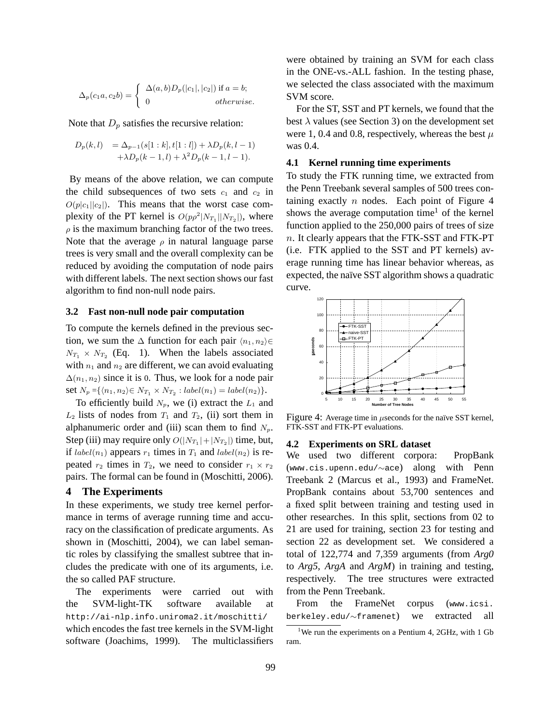$$
\Delta_p(c_1a, c_2b) = \begin{cases} \Delta(a, b)D_p(|c_1|, |c_2|) \text{ if } a = b; \\ 0 \text{ otherwise.} \end{cases}
$$

Note that  $D_p$  satisfies the recursive relation:

$$
D_p(k, l) = \Delta_{p-1}(s[1:k], t[1:l]) + \lambda D_p(k, l-1) + \lambda D_p(k-1, l) + \lambda^2 D_p(k-1, l-1).
$$

By means of the above relation, we can compute the child subsequences of two sets  $c_1$  and  $c_2$  in  $O(p|c_1||c_2|)$ . This means that the worst case complexity of the PT kernel is  $O(p\rho^2|N_{T_1}||N_{T_2}|)$ , where  $\rho$  is the maximum branching factor of the two trees. Note that the average  $\rho$  in natural language parse trees is very small and the overall complexity can be reduced by avoiding the computation of node pairs with different labels. The next section shows our fast algorithm to find non-null node pairs.

### **3.2 Fast non-null node pair computation**

To compute the kernels defined in the previous section, we sum the  $\Delta$  function for each pair  $\langle n_1, n_2 \rangle \in$  $N_{T_1} \times N_{T_2}$  (Eq. 1). When the labels associated with  $n_1$  and  $n_2$  are different, we can avoid evaluating  $\Delta(n_1, n_2)$  since it is 0. Thus, we look for a node pair set  $N_p = \{ \langle n_1, n_2 \rangle \in N_{T_1} \times N_{T_2} : label(n_1) = label(n_2) \}.$ 

To efficiently build  $N_p$ , we (i) extract the  $L_1$  and  $L_2$  lists of nodes from  $T_1$  and  $T_2$ , (ii) sort them in alphanumeric order and (iii) scan them to find  $N_p$ . Step (iii) may require only  $O(|N_{T_1}|+|N_{T_2}|)$  time, but, if label(n<sub>1</sub>) appears  $r_1$  times in  $T_1$  and label(n<sub>2</sub>) is repeated  $r_2$  times in  $T_2$ , we need to consider  $r_1 \times r_2$ pairs. The formal can be found in (Moschitti, 2006).

#### **4 The Experiments**

In these experiments, we study tree kernel performance in terms of average running time and accuracy on the classification of predicate arguments. As shown in (Moschitti, 2004), we can label semantic roles by classifying the smallest subtree that includes the predicate with one of its arguments, i.e. the so called PAF structure.

The experiments were carried out with the SVM-light-TK software available at http://ai-nlp.info.uniroma2.it/moschitti/ which encodes the fast tree kernels in the SVM-light software (Joachims, 1999). The multiclassifiers

were obtained by training an SVM for each class in the ONE-vs.-ALL fashion. In the testing phase, we selected the class associated with the maximum SVM score.

For the ST, SST and PT kernels, we found that the best  $\lambda$  values (see Section 3) on the development set were 1, 0.4 and 0.8, respectively, whereas the best  $\mu$ was 0.4.

#### **4.1 Kernel running time experiments**

To study the FTK running time, we extracted from the Penn Treebank several samples of 500 trees containing exactly  $n$  nodes. Each point of Figure 4 shows the average computation time<sup>1</sup> of the kernel function applied to the 250,000 pairs of trees of size n. It clearly appears that the FTK-SST and FTK-PT (i.e. FTK applied to the SST and PT kernels) average running time has linear behavior whereas, as expected, the naïve SST algorithm shows a quadratic curve.



Figure 4: Average time in  $\mu$ seconds for the naïve SST kernel, FTK-SST and FTK-PT evaluations.

#### **4.2 Experiments on SRL dataset**

We used two different corpora: PropBank (www.cis.upenn.edu/∼ace) along with Penn Treebank 2 (Marcus et al., 1993) and FrameNet. PropBank contains about 53,700 sentences and a fixed split between training and testing used in other researches. In this split, sections from 02 to 21 are used for training, section 23 for testing and section 22 as development set. We considered a total of 122,774 and 7,359 arguments (from *Arg0* to *Arg5*, *ArgA* and *ArgM*) in training and testing, respectively. The tree structures were extracted from the Penn Treebank.

From the FrameNet corpus (www.icsi. berkeley.edu/∼framenet) we extracted all

<sup>&</sup>lt;sup>1</sup>We run the experiments on a Pentium 4, 2GHz, with 1 Gb ram.